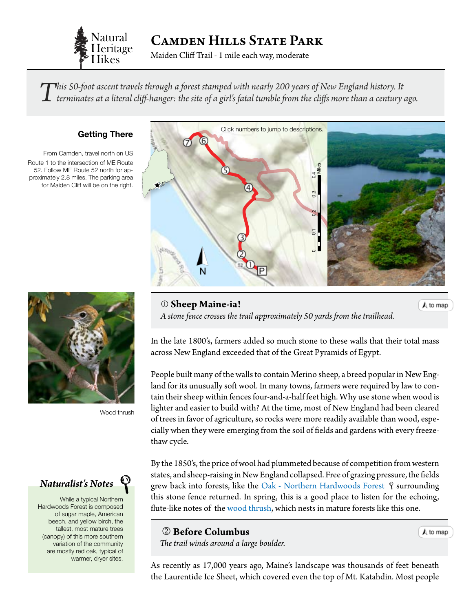

Camden Hills State Park

Maiden Cliff Trail - 1 mile each way, moderate

 $\prod$ his 50-foot ascent travels through a forest stamped with nearly 200 years of New England history. It<br>terminates at a literal cliff-hanger: the site of a girl's fatal tumble from the cliffs more than a century ago.

### **Getting There**

From Camden, travel north on US Route 1 to the intersection of ME Route 52. Follow ME Route 52 north for approximately 2.8 miles. The parking area for Maiden Cliff will be on the right.



Wood thrush

## *Naturalist's Notes*

While a typical Northern Hardwoods Forest is composed of sugar maple, American beech, and yellow birch, the tallest, most mature trees (canopy) of this more southern variation of the community are mostly red oak, typical of warmer, dryer sites.

<span id="page-0-0"></span>

 **Sheep Maine-ia!** *A stone fence crosses the trail approximately 50 yards from the trailhead.* A to map

In the late 1800's, farmers added so much stone to these walls that their total mass across New England exceeded that of the Great Pyramids of Egypt.

People built many of the walls to contain Merino sheep, a breed popular in New England for its unusually soft wool. In many towns, farmers were required by law to contain their sheep within fences four-and-a-half feet high. Why use stone when wood is lighter and easier to build with? At the time, most of New England had been cleared of trees in favor of agriculture, so rocks were more readily available than wood, especially when they were emerging from the soil of fields and gardens with every freezethaw cycle.

By the 1850's, the price of wool had plummeted because of competition from western states, and sheep-raising in New England collapsed. Free of grazing pressure, the fields grew back into forests, like the [Oak - Northern Hardwoods Forest](http://www.maine.gov/dacf/mnap/features/communities/redoakhardwoodpineforest.htm)  $\mathcal{P}$  surrounding this stone fence returned. In spring, this is a good place to listen for the echoing, flute-like notes of the w[ood thrush](http://www.allaboutbirds.org/guide/wood_thrush/sounds), which nests in mature forests like this one.

  **Before Columbus**  *The trail winds around a large boulder.*

A to map

As recently as 17,000 years ago, Maine's landscape was thousands of feet beneath the Laurentide Ice Sheet, which covered even the top of Mt. Katahdin. Most people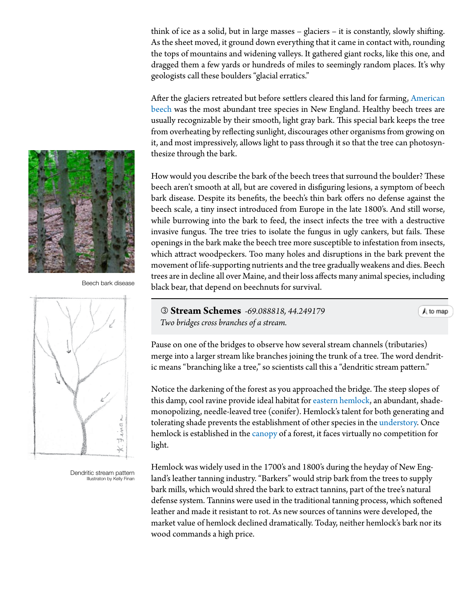think of ice as a solid, but in large masses – glaciers – it is constantly, slowly shifting. As the sheet moved, it ground down everything that it came in contact with, rounding the tops of mountains and widening valleys. It gathered giant rocks, like this one, and dragged them a few yards or hundreds of miles to seemingly random places. It's why geologists call these boulders "glacial erratics."

After the glaciers retreated but before settlers cleared this land for farming, [American](http://dendro.cnre.vt.edu/dendrology/syllabus/factsheet.cfm?ID=47) [beech](http://dendro.cnre.vt.edu/dendrology/syllabus/factsheet.cfm?ID=47) was the most abundant tree species in New England. Healthy beech trees are usually recognizable by their smooth, light gray bark. This special bark keeps the tree from overheating by reflecting sunlight, discourages other organisms from growing on it, and most impressively, allows light to pass through it so that the tree can photosynthesize through the bark.

How would you describe the bark of the beech trees that surround the boulder? These beech aren't smooth at all, but are covered in disfiguring lesions, a symptom of beech bark disease. Despite its benefits, the beech's thin bark offers no defense against the beech scale, a tiny insect introduced from Europe in the late 1800's. And still worse, while burrowing into the bark to feed, the insect infects the tree with a destructive invasive fungus. The tree tries to isolate the fungus in ugly cankers, but fails. These openings in the bark make the beech tree more susceptible to infestation from insects, which attract woodpeckers. Too many holes and disruptions in the bark prevent the movement of life-supporting nutrients and the tree gradually weakens and dies. Beech trees are in decline all over Maine, and their loss affects many animal species, including black bear, that depend on beechnuts for survival.

 **Stream Schemes** *-69.088818, 44.249179 Two bridges cross branches of a stream.*

A to map

Pause on one of the bridges to observe how several stream channels (tributaries) merge into a larger stream like branches joining the trunk of a tree. The word dendritic means "branching like a tree," so scientists call this a "dendritic stream pattern."

Notice the darkening of the forest as you approached the bridge. The steep slopes of this damp, cool ravine provide ideal habitat for [eastern hemlock,](http://dendro.cnre.vt.edu/dendrology/syllabus/factsheet.cfm?ID=116) an abundant, shademonopolizing, needle-leaved tree (conifer). Hemlock's talent for both generating and tolerating shade prevents the establishment of other species in the [understory.](#page-3-0) Once hemlock is established in the [canopy](#page-3-0) of a forest, it faces virtually no competition for light.

Hemlock was widely used in the 1700's and 1800's during the heyday of New England's leather tanning industry. "Barkers" would strip bark from the trees to supply bark mills, which would shred the bark to extract tannins, part of the tree's natural defense system. Tannins were used in the traditional tanning process, which softened leather and made it resistant to rot. As new sources of tannins were developed, the market value of hemlock declined dramatically. Today, neither hemlock's bark nor its wood commands a high price.





Dendritic stream pattern Illustraton by Kelly Finan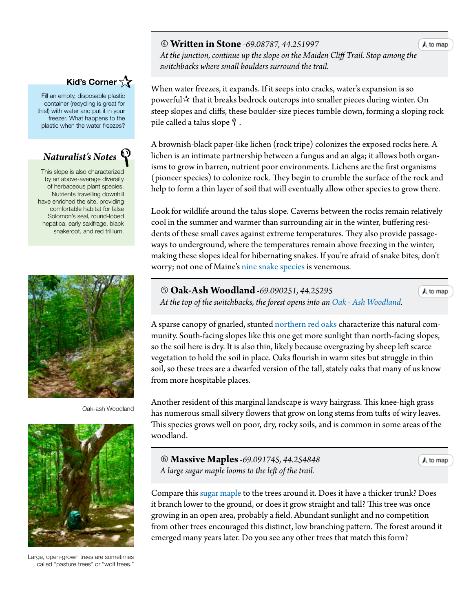### **Written in Stone** *-69.08787, 44.251997*

 *At the junction, continue up the slope on the Maiden Cliff Trail. Stop amon[g the](#page-0-0) switchbacks where small boulders surround the trail.*

When water freezes, it expands. If it seeps into cracks, water's expansion is so powerful  $\mathcal{\hat{X}}$  that it breaks bedrock outcrops into smaller pieces during winter. On steep slopes and cliffs, these boulder-size pieces tumble down, forming a sloping rock pile called a talus slope  $\mathcal{P}$ .

A brownish-black paper-like lichen (rock tripe) colonizes the exposed rocks here. A lichen is an intimate partnership between a fungus and an alga; it allows both organisms to grow in barren, nutrient poor environments. Lichens are the first organisms (pioneer species) to colonize rock. They begin to crumble the surface of the rock and help to form a thin layer of soil that will eventually allow other species to grow there.

Look for wildlife around the talus slope. Caverns between the rocks remain relatively cool in the summer and warmer than surrounding air in the winter, buffering residents of these small caves against extreme temperatures. They also provide passageways to underground, where the temperatures remain above freezing in the winter, making these slopes ideal for hibernating snakes. If you're afraid of snake bites, don't worry; not one of Maine's [nine snake](http://www.maine.gov/dacf/php/gotpests/othercritters/factsheets/snakes-meifw_pp17-20.pdf) species is venemous.

 **Oak-Ash Woodland** *-69.090251, 44.25295 At the top of the switchbacks, the forest opens into an [Oak - Ash Woodland](http://www.maine.gov/dacf/mnap/features/communities/ironwoodoak.htm).*

A sparse canopy of gnarled, stunted [northern](http://dendro.cnre.vt.edu/dendrology/syllabus/factsheet.cfm?ID=38) [red oaks](http://dendro.cnre.vt.edu/dendrology/syllabus/factsheet.cfm?ID=38) characterize this natural community. South-facing slopes like this one get more sunlight than north-facing slopes, so the soil here is dry. It is also thin, likely because overgrazing by sheep left scarce vegetation to hold the soil in place. Oaks flourish in warm sites but struggle in thin soil, so these trees are a dwarfed version of the tall, stately oaks that many of us know from more hospitable places.

Another resident of this marginal landscape is wavy hairgrass. This knee-high grass has numerous small silvery flowers that grow on long stems from tufts of wiry leaves. This species grows well on poor, dry, rocky soils, and is common in some areas of the woodland.

 **Massive Maples***-69.091745, 44.254848 A large sugar maple looms to the left of the trail.*

Compare this [sugar maple](http://dendro.cnre.vt.edu/dendrology/syllabus/factsheet.cfm?ID=2) to the trees around it. Does it have a thicker trunk? Does it branch lower to the ground, or does it grow straight and tall? This tree was once growing in an open area, probably a field. Abundant sunlight and no competition from other trees encouraged this distinct, low branching pattern. The forest around it emerged many years later. Do you see any other trees that match this form?

**Kid's Corner** 

Fill an empty, disposable plastic container (recycling is great for this!) with water and put it in your freezer. What happens to the plastic when the water freezes?

# *Naturalist's Notes*

This slope is also characterized by an above-average diversity of herbaceous plant species. Nutrients travelling downhill have enriched the site, providing comfortable habitat for false Solomon's seal, round-lobed hepatica, early saxifrage, black snakeroot, and red trillium.



Oak-ash Woodland



Large, open-grown trees are sometimes called "pasture trees" or "wolf trees."

 $A$  to map

 $A$  to map

 $A$  to map